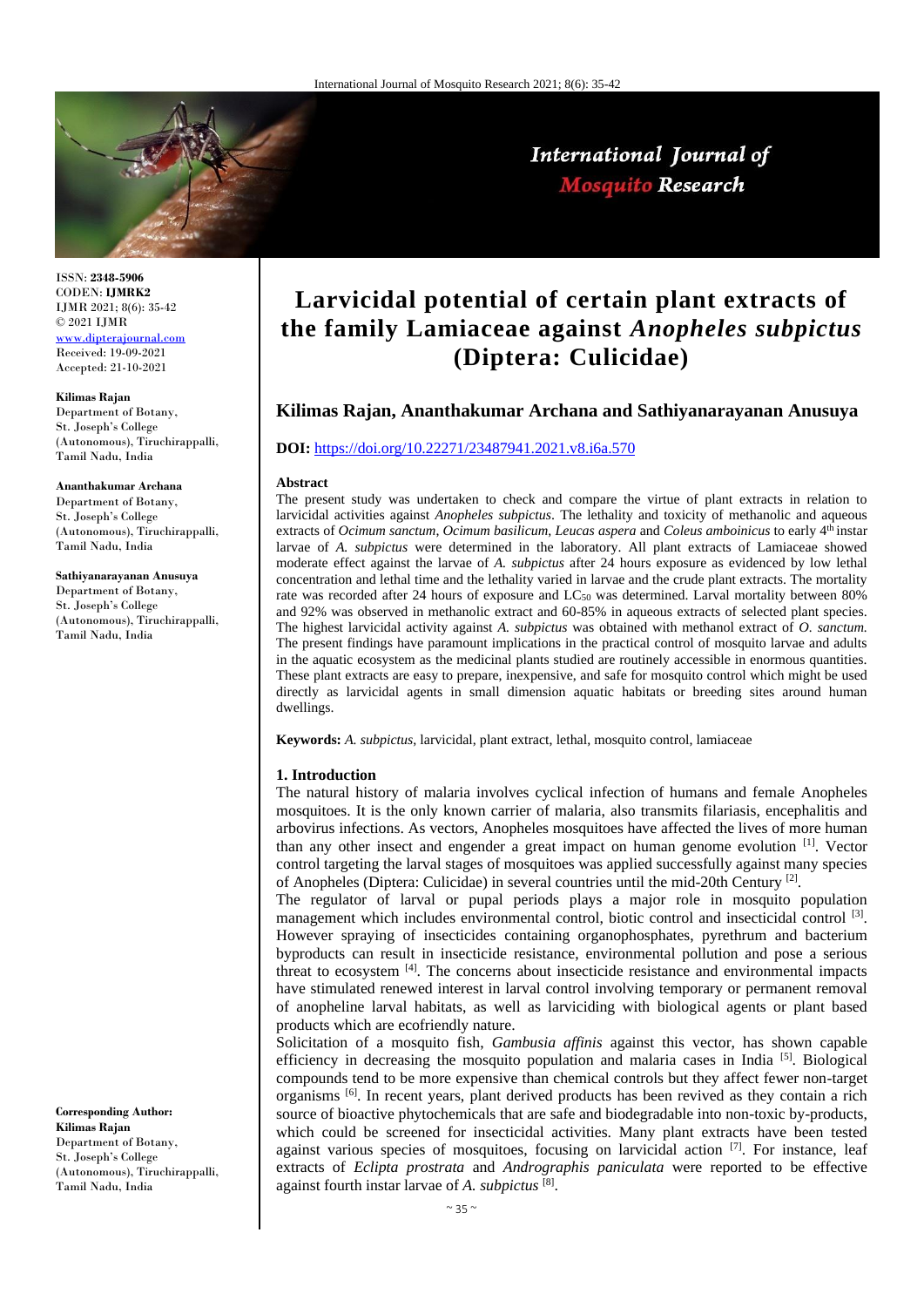

International Journal of **Mosquito Research** 

ISSN: **2348-5906** CODEN: **IJMRK2** IJMR 2021; 8(6): 35-42 © 2021 IJMR [www.dipterajournal.com](file://///server/d/Mosquito/Issue/8%20Volume/www.dipterajournal.com)

Received: 19-09-2021 Accepted: 21-10-2021

#### **Kilimas Rajan**

Department of Botany, St. Joseph's College (Autonomous), Tiruchirappalli, Tamil Nadu, India

#### **Ananthakumar Archana**

Department of Botany, St. Joseph's College (Autonomous), Tiruchirappalli, Tamil Nadu, India

## **Sathiyanarayanan Anusuya**

Department of Botany, St. Joseph's College (Autonomous), Tiruchirappalli, Tamil Nadu, India

**Corresponding Author: Kilimas Rajan** Department of Botany, St. Joseph's College (Autonomous), Tiruchirappalli, Tamil Nadu, India

# **Larvicidal potential of certain plant extracts of the family Lamiaceae against** *Anopheles subpictus* **(Diptera: Culicidae)**

# **Kilimas Rajan, Ananthakumar Archana and Sathiyanarayanan Anusuya**

# **DOI:** <https://doi.org/10.22271/23487941.2021.v8.i6a.570>

## **Abstract**

The present study was undertaken to check and compare the virtue of plant extracts in relation to larvicidal activities against *Anopheles subpictus*. The lethality and toxicity of methanolic and aqueous extracts of *Ocimum sanctum*, *Ocimum basilicum*, *Leucas aspera* and *Coleus amboinicus* to early 4th instar larvae of *A. subpictus* were determined in the laboratory. All plant extracts of Lamiaceae showed moderate effect against the larvae of *A. subpictus* after 24 hours exposure as evidenced by low lethal concentration and lethal time and the lethality varied in larvae and the crude plant extracts. The mortality rate was recorded after 24 hours of exposure and LC<sup>50</sup> was determined. Larval mortality between 80% and 92% was observed in methanolic extract and 60-85% in aqueous extracts of selected plant species. The highest larvicidal activity against *A. subpictus* was obtained with methanol extract of *O. sanctum.* The present findings have paramount implications in the practical control of mosquito larvae and adults in the aquatic ecosystem as the medicinal plants studied are routinely accessible in enormous quantities. These plant extracts are easy to prepare, inexpensive, and safe for mosquito control which might be used directly as larvicidal agents in small dimension aquatic habitats or breeding sites around human dwellings.

**Keywords:** *A. subpictus*, larvicidal, plant extract, lethal, mosquito control, lamiaceae

#### **1. Introduction**

The natural history of malaria involves cyclical infection of humans and female Anopheles mosquitoes. It is the only known carrier of malaria, also transmits filariasis, encephalitis and arbovirus infections. As vectors, Anopheles mosquitoes have affected the lives of more human than any other insect and engender a great impact on human genome evolution [1]. Vector control targeting the larval stages of mosquitoes was applied successfully against many species of Anopheles (Diptera: Culicidae) in several countries until the mid-20th Century<sup>[2]</sup>.

The regulator of larval or pupal periods plays a major role in mosquito population management which includes environmental control, biotic control and insecticidal control<sup>[3]</sup>. However spraying of insecticides containing organophosphates, pyrethrum and bacterium byproducts can result in insecticide resistance, environmental pollution and pose a serious threat to ecosystem [4]. The concerns about insecticide resistance and environmental impacts have stimulated renewed interest in larval control involving temporary or permanent removal of anopheline larval habitats, as well as larviciding with biological agents or plant based products which are ecofriendly nature.

Solicitation of a mosquito fish, *Gambusia affinis* against this vector, has shown capable efficiency in decreasing the mosquito population and malaria cases in India [5]. Biological compounds tend to be more expensive than chemical controls but they affect fewer non-target organisms [6]. In recent years, plant derived products has been revived as they contain a rich source of bioactive phytochemicals that are safe and biodegradable into non-toxic by-products, which could be screened for insecticidal activities. Many plant extracts have been tested against various species of mosquitoes, focusing on larvicidal action  $[7]$ . For instance, leaf extracts of *Eclipta prostrata* and *Andrographis paniculata* were reported to be effective against fourth instar larvae of *A. subpictus* [8] .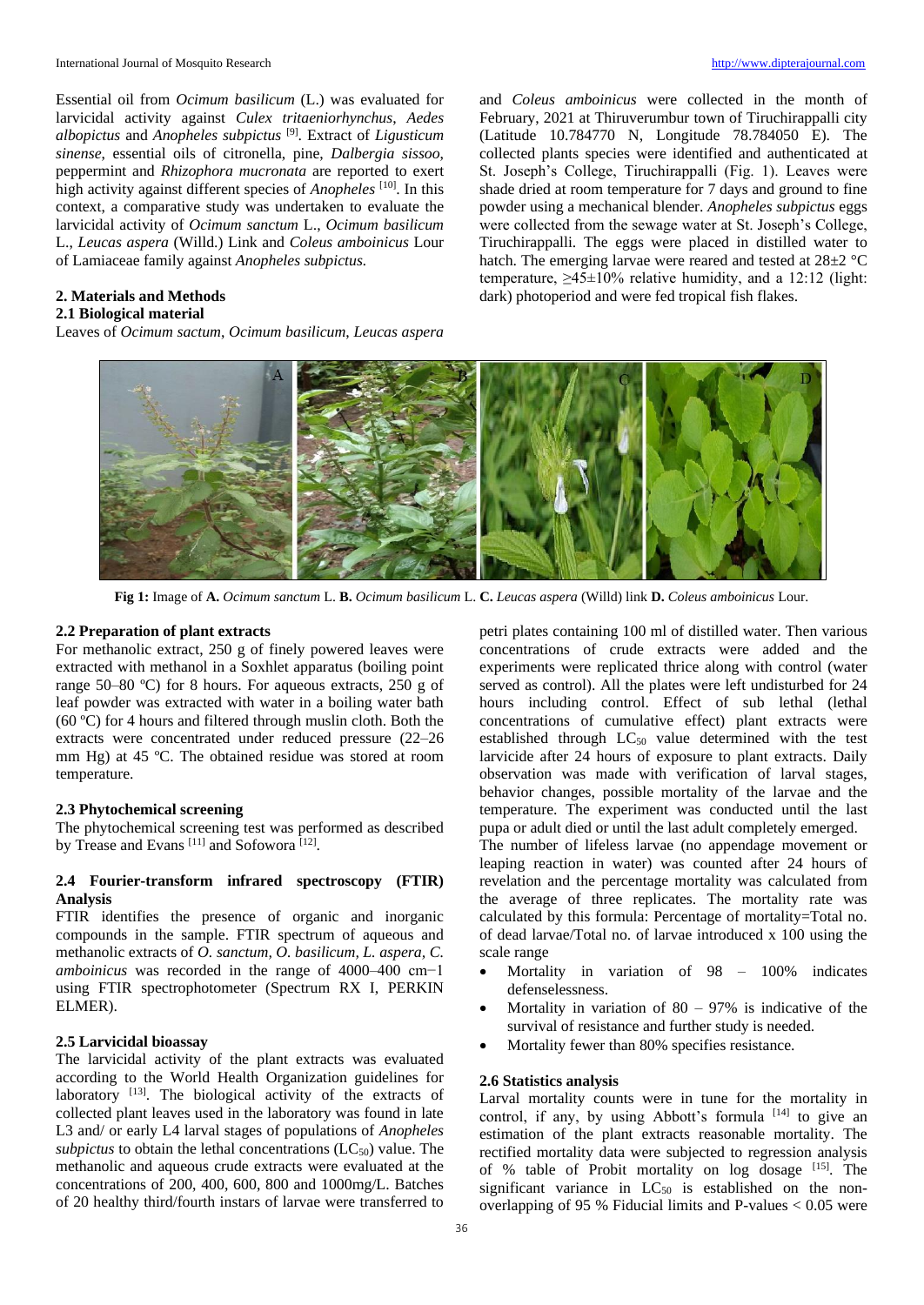Essential oil from *Ocimum basilicum* (L.) was evaluated for larvicidal activity against *Culex tritaeniorhynchus*, *Aedes albopictus* and *Anopheles subpictus* [9] . Extract of *Ligusticum sinense*, essential oils of citronella, pine, *Dalbergia sissoo*, peppermint and *Rhizophora mucronata* are reported to exert high activity against different species of *Anopheles* [10]. In this context, a comparative study was undertaken to evaluate the larvicidal activity of *Ocimum sanctum* L., *Ocimum basilicum* L., *Leucas aspera* (Willd.) Link and *Coleus amboinicus* Lour of Lamiaceae family against *Anopheles subpictus.*

# **2. Materials and Methods**

# **2.1 Biological material**

Leaves of *Ocimum sactum*, *Ocimum basilicum*, *Leucas aspera*

and *Coleus amboinicus* were collected in the month of February, 2021 at Thiruverumbur town of Tiruchirappalli city (Latitude 10.784770 N, Longitude 78.784050 E). The collected plants species were identified and authenticated at St. Joseph's College, Tiruchirappalli (Fig. 1). Leaves were shade dried at room temperature for 7 days and ground to fine powder using a mechanical blender. *Anopheles subpictus* eggs were collected from the sewage water at St. Joseph's College, Tiruchirappalli. The eggs were placed in distilled water to hatch. The emerging larvae were reared and tested at 28±2 °C temperature,  $\geq 45 \pm 10\%$  relative humidity, and a 12:12 (light: dark) photoperiod and were fed tropical fish flakes.



**Fig 1:** Image of **A.** *Ocimum sanctum* L. **B.** *Ocimum basilicum* L. **C.** *Leucas aspera* (Willd) link **D.** *Coleus amboinicus* Lour.

## **2.2 Preparation of plant extracts**

For methanolic extract, 250 g of finely powered leaves were extracted with methanol in a Soxhlet apparatus (boiling point range 50–80 ºC) for 8 hours. For aqueous extracts, 250 g of leaf powder was extracted with water in a boiling water bath (60 ºC) for 4 hours and filtered through muslin cloth. Both the extracts were concentrated under reduced pressure (22–26 mm Hg) at 45 ºC. The obtained residue was stored at room temperature.

# **2.3 Phytochemical screening**

The phytochemical screening test was performed as described by Trease and Evans<sup>[11]</sup> and Sofowora<sup>[12]</sup>.

# **2.4 Fourier-transform infrared spectroscopy (FTIR) Analysis**

FTIR identifies the presence of organic and inorganic compounds in the sample. FTIR spectrum of aqueous and methanolic extracts of *O. sanctum, O. basilicum, L. aspera, C. amboinicus* was recorded in the range of 4000–400 cm−1 using FTIR spectrophotometer (Spectrum RX I, PERKIN ELMER).

# **2.5 Larvicidal bioassay**

The larvicidal activity of the plant extracts was evaluated according to the World Health Organization guidelines for laboratory [13]. The biological activity of the extracts of collected plant leaves used in the laboratory was found in late L3 and/ or early L4 larval stages of populations of *Anopheles subpictus* to obtain the lethal concentrations  $(LC_{50})$  value. The methanolic and aqueous crude extracts were evaluated at the concentrations of 200, 400, 600, 800 and 1000mg/L. Batches of 20 healthy third/fourth instars of larvae were transferred to

petri plates containing 100 ml of distilled water. Then various concentrations of crude extracts were added and the experiments were replicated thrice along with control (water served as control). All the plates were left undisturbed for 24 hours including control. Effect of sub lethal (lethal concentrations of cumulative effect) plant extracts were established through  $LC_{50}$  value determined with the test larvicide after 24 hours of exposure to plant extracts. Daily observation was made with verification of larval stages, behavior changes, possible mortality of the larvae and the temperature. The experiment was conducted until the last pupa or adult died or until the last adult completely emerged.

The number of lifeless larvae (no appendage movement or leaping reaction in water) was counted after 24 hours of revelation and the percentage mortality was calculated from the average of three replicates. The mortality rate was calculated by this formula: Percentage of mortality=Total no. of dead larvae/Total no. of larvae introduced x 100 using the scale range

- Mortality in variation of 98 100% indicates defenselessness.
- Mortality in variation of  $80 97\%$  is indicative of the survival of resistance and further study is needed.
- Mortality fewer than 80% specifies resistance.

# **2.6 Statistics analysis**

Larval mortality counts were in tune for the mortality in control, if any, by using Abbott's formula [14] to give an estimation of the plant extracts reasonable mortality. The rectified mortality data were subjected to regression analysis of % table of Probit mortality on log dosage [15]. The significant variance in  $LC_{50}$  is established on the nonoverlapping of 95 % Fiducial limits and P-values  $< 0.05$  were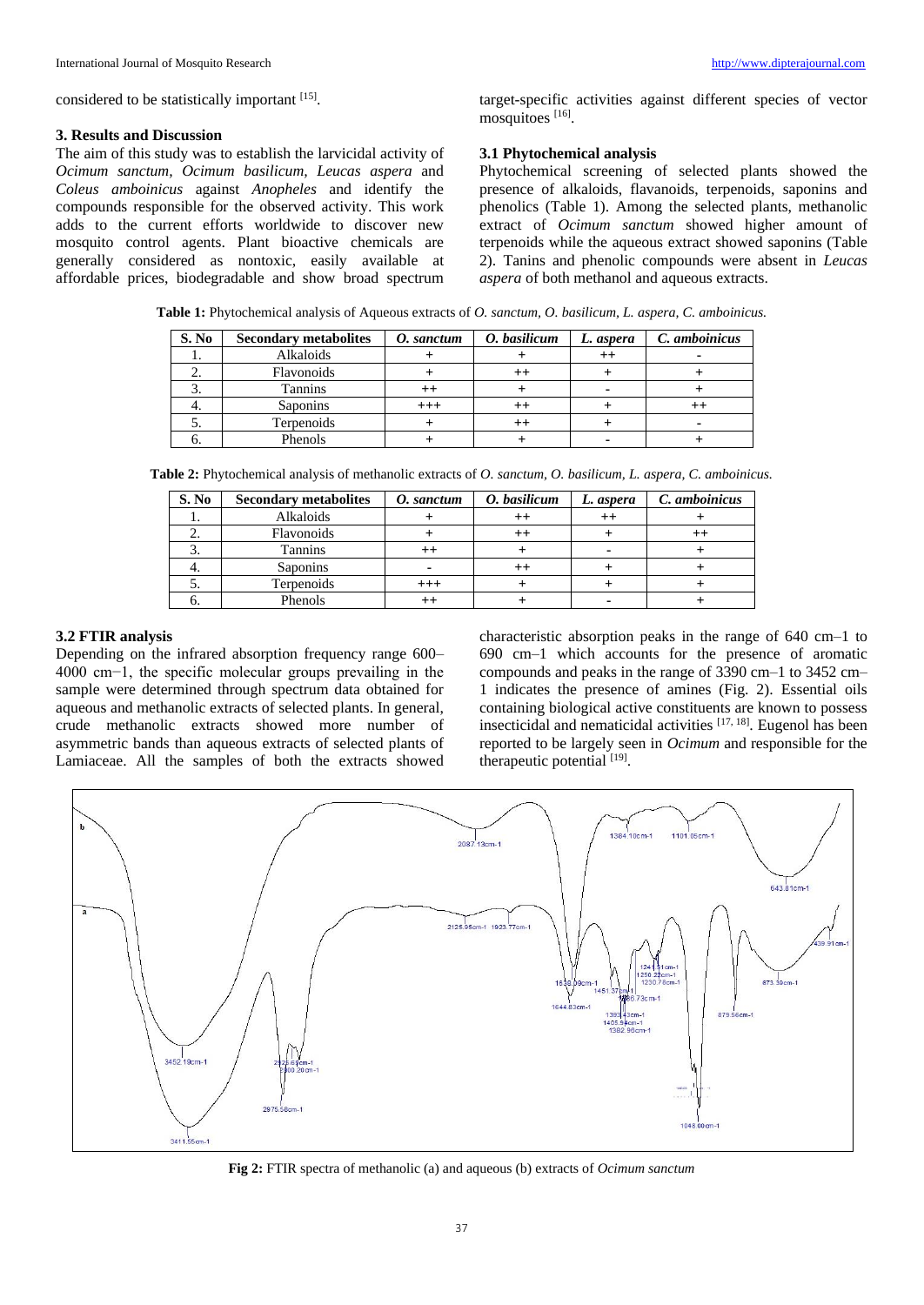considered to be statistically important [15].

#### **3. Results and Discussion**

The aim of this study was to establish the larvicidal activity of *Ocimum sanctum, Ocimum basilicum, Leucas aspera* and *Coleus amboinicus* against *Anopheles* and identify the compounds responsible for the observed activity. This work adds to the current efforts worldwide to discover new mosquito control agents. Plant bioactive chemicals are generally considered as nontoxic, easily available at affordable prices, biodegradable and show broad spectrum target-specific activities against different species of vector mosquitoes [16].

# **3.1 Phytochemical analysis**

Phytochemical screening of selected plants showed the presence of alkaloids, flavanoids, terpenoids, saponins and phenolics (Table 1). Among the selected plants, methanolic extract of *Ocimum sanctum* showed higher amount of terpenoids while the aqueous extract showed saponins (Table 2). Tanins and phenolic compounds were absent in *Leucas aspera* of both methanol and aqueous extracts.

**Table 1:** Phytochemical analysis of Aqueous extracts of *O. sanctum, O. basilicum, L. aspera, C. amboinicus.*

| S. No | <b>Secondary metabolites</b> | O. sanctum | O. basilicum | L. aspera       | C. amboinicus |  |
|-------|------------------------------|------------|--------------|-----------------|---------------|--|
|       | Alkaloids                    |            |              | $^{\mathrm{+}}$ |               |  |
|       | Flavonoids                   |            |              |                 |               |  |
|       | Tannins                      |            |              |                 |               |  |
|       | Saponins                     | $+++$      |              |                 |               |  |
| J.    | Terpenoids                   |            |              |                 |               |  |
|       | Phenols                      |            |              |                 |               |  |

**Table 2:** Phytochemical analysis of methanolic extracts of *O. sanctum, O. basilicum, L. aspera, C. amboinicus.*

| S. No | <b>Secondary metabolites</b> | O. sanctum | O. basilicum | L. aspera | C. amboinicus |  |
|-------|------------------------------|------------|--------------|-----------|---------------|--|
|       | Alkaloids                    |            |              |           |               |  |
|       | Flavonoids                   |            |              |           |               |  |
|       | Tannins                      |            |              |           |               |  |
|       | Saponins                     | -          |              |           |               |  |
|       | Terpenoids                   | $^{+++}$   |              |           |               |  |
|       | Phenols                      |            |              |           |               |  |

## **3.2 FTIR analysis**

Depending on the infrared absorption frequency range 600– 4000 cm−1, the specific molecular groups prevailing in the sample were determined through spectrum data obtained for aqueous and methanolic extracts of selected plants. In general, crude methanolic extracts showed more number of asymmetric bands than aqueous extracts of selected plants of Lamiaceae. All the samples of both the extracts showed characteristic absorption peaks in the range of 640 cm–1 to 690 cm–1 which accounts for the presence of aromatic compounds and peaks in the range of 3390 cm–1 to 3452 cm– 1 indicates the presence of amines (Fig. 2). Essential oils containing biological active constituents are known to possess insecticidal and nematicidal activities [17, 18]. Eugenol has been reported to be largely seen in *Ocimum* and responsible for the therapeutic potential [19].



**Fig 2:** FTIR spectra of methanolic (a) and aqueous (b) extracts of *Ocimum sanctum*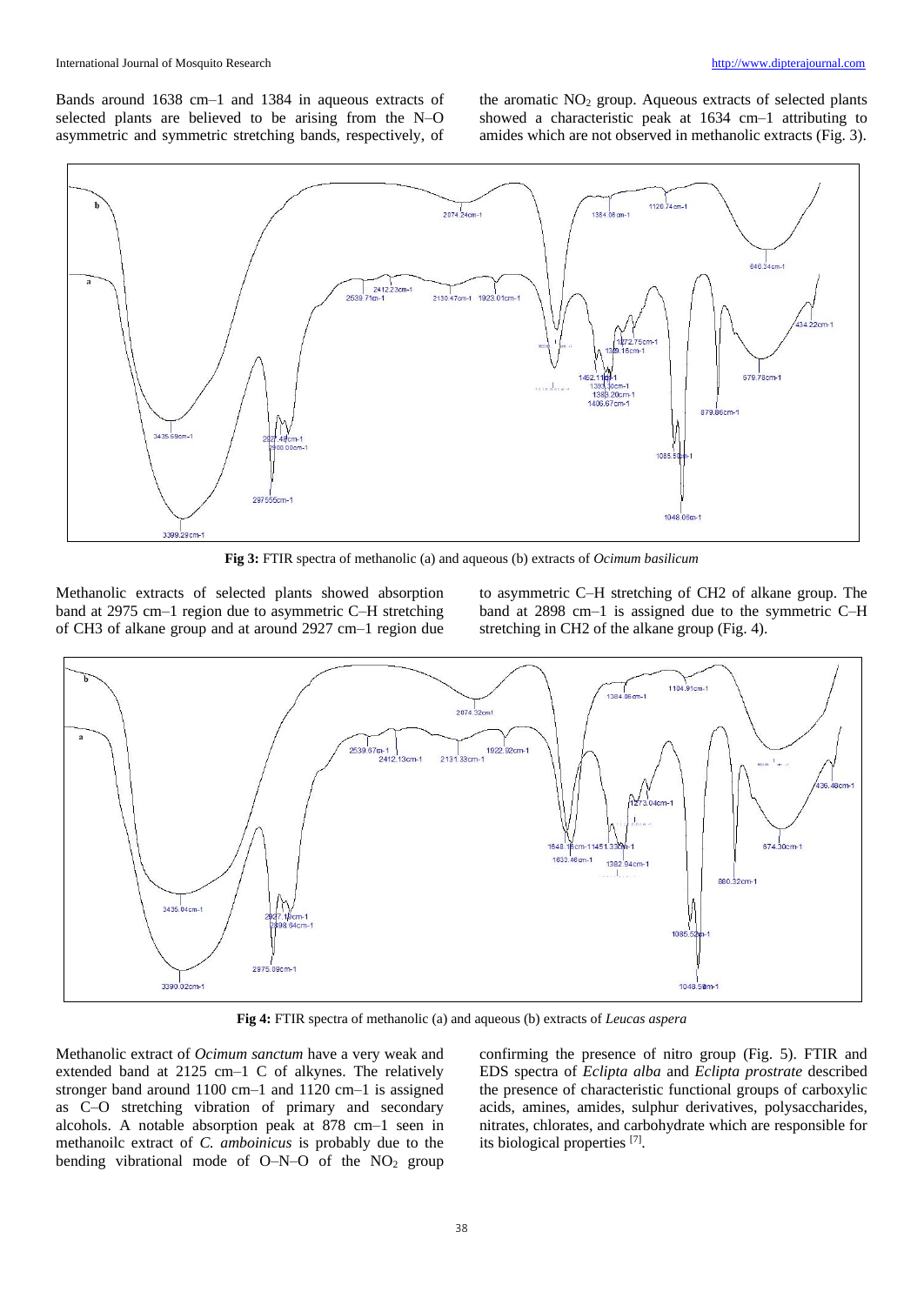Bands around 1638 cm–1 and 1384 in aqueous extracts of selected plants are believed to be arising from the N–O asymmetric and symmetric stretching bands, respectively, of the aromatic  $NO<sub>2</sub>$  group. Aqueous extracts of selected plants showed a characteristic peak at 1634 cm–1 attributing to amides which are not observed in methanolic extracts (Fig. 3).



**Fig 3:** FTIR spectra of methanolic (a) and aqueous (b) extracts of *Ocimum basilicum*

Methanolic extracts of selected plants showed absorption band at 2975 cm–1 region due to asymmetric C–H stretching of CH3 of alkane group and at around 2927 cm–1 region due to asymmetric C–H stretching of CH2 of alkane group. The band at 2898 cm–1 is assigned due to the symmetric C–H stretching in CH2 of the alkane group (Fig. 4).



**Fig 4:** FTIR spectra of methanolic (a) and aqueous (b) extracts of *Leucas aspera*

Methanolic extract of *Ocimum sanctum* have a very weak and extended band at 2125 cm–1 C of alkynes. The relatively stronger band around 1100 cm–1 and 1120 cm–1 is assigned as C–O stretching vibration of primary and secondary alcohols. A notable absorption peak at 878 cm–1 seen in methanoilc extract of *C. amboinicus* is probably due to the bending vibrational mode of  $O-N-O$  of the  $NO<sub>2</sub>$  group confirming the presence of nitro group (Fig. 5). FTIR and EDS spectra of *Eclipta alba* and *Eclipta prostrate* described the presence of characteristic functional groups of carboxylic acids, amines, amides, sulphur derivatives, polysaccharides, nitrates, chlorates, and carbohydrate which are responsible for its biological properties [7] .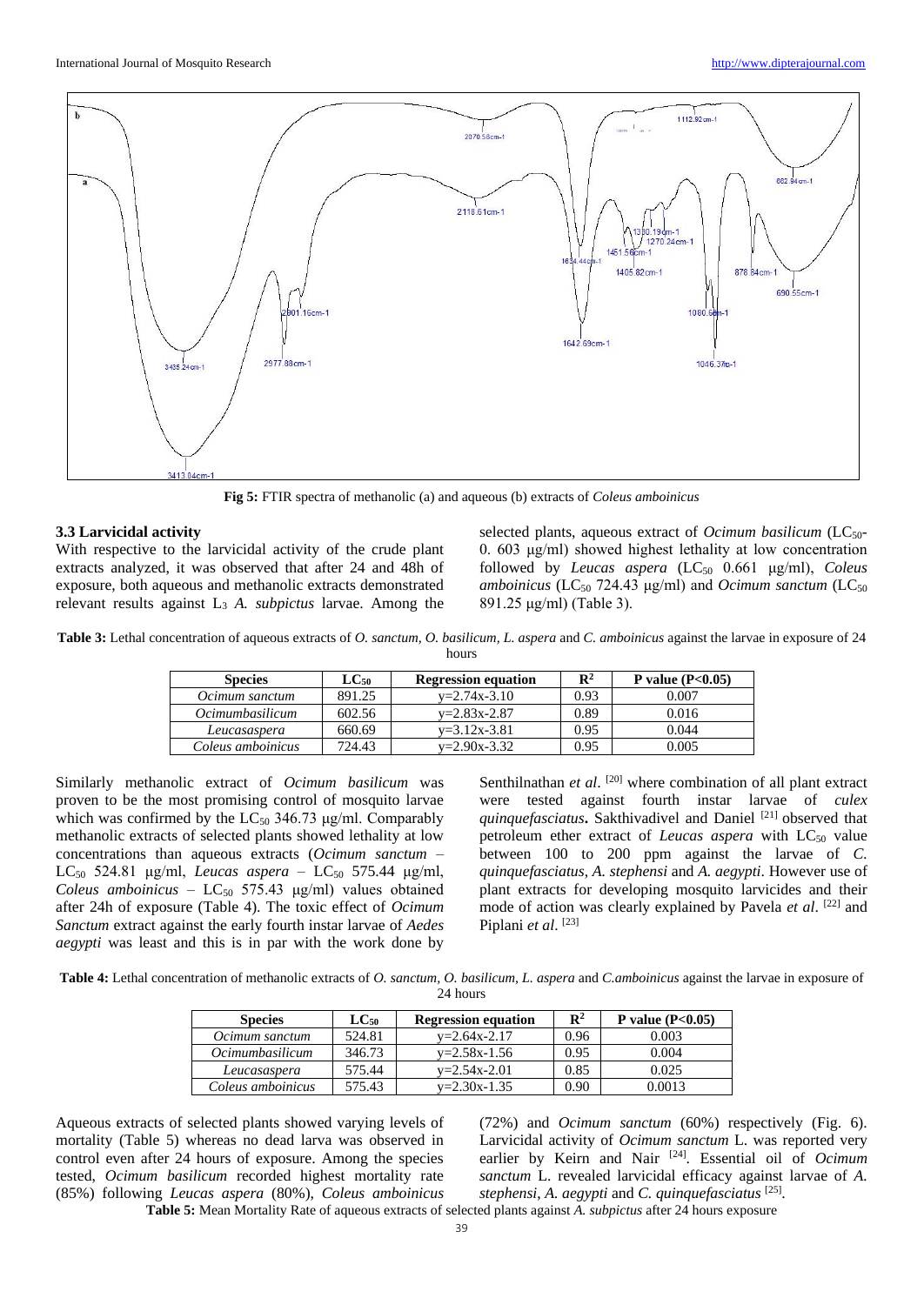

**Fig 5:** FTIR spectra of methanolic (a) and aqueous (b) extracts of *Coleus amboinicus*

## **3.3 Larvicidal activity**

With respective to the larvicidal activity of the crude plant extracts analyzed, it was observed that after 24 and 48h of exposure, both aqueous and methanolic extracts demonstrated relevant results against L<sup>3</sup> *A. subpictus* larvae. Among the

selected plants, aqueous extract of *Ocimum basilicum* (LC<sub>50</sub>-0. 603 μg/ml) showed highest lethality at low concentration followed by *Leucas aspera* (LC<sup>50</sup> 0.661 μg/ml), *Coleus amboinicus* (LC<sub>50</sub> 724.43 μg/ml) and *Ocimum sanctum* (LC<sub>50</sub> 891.25 μg/ml) (Table 3).

**Table 3:** Lethal concentration of aqueous extracts of *O. sanctum, O. basilicum, L. aspera* and *C. amboinicus* against the larvae in exposure of 24 hours

| <b>Species</b>         | $_{\rm LCs0}$ |                    | $\mathbf{R}^2$ | P value $(P<0.05)$ |
|------------------------|---------------|--------------------|----------------|--------------------|
| Ocimum sanctum         | 891.25        | $v=2.74x-3.10$     | 0.93           | 0.007              |
| <i>Ocimumbasilicum</i> | 602.56        | $v=2.83x-2.87$     | 0.89           | 0.016              |
| Leucasaspera           | 660.69        | $v = 3.12x - 3.81$ | 0.95           | 0.044              |
| Coleus amboinicus      | 724.43        | $v=2.90x-3.32$     | 0.95           | 0.005              |

Similarly methanolic extract of *Ocimum basilicum* was proven to be the most promising control of mosquito larvae which was confirmed by the  $LC_{50}$  346.73 μg/ml. Comparably methanolic extracts of selected plants showed lethality at low concentrations than aqueous extracts (*Ocimum sanctum* – LC<sup>50</sup> 524.81 μg/ml, *Leucas aspera* – LC<sup>50</sup> 575.44 μg/ml, *Coleus amboinicus* –  $LC_{50}$  575.43  $\mu$ g/ml) values obtained after 24h of exposure (Table 4). The toxic effect of *Ocimum Sanctum* extract against the early fourth instar larvae of *Aedes aegypti* was least and this is in par with the work done by

Senthilnathan *et al.* [20] where combination of all plant extract were tested against fourth instar larvae of *culex quinquefasciatus***.** Sakthivadivel and Daniel [21] observed that petroleum ether extract of *Leucas aspera* with LC<sub>50</sub> value between 100 to 200 ppm against the larvae of *C. quinquefasciatus*, *A. stephensi* and *A. aegypti*. However use of plant extracts for developing mosquito larvicides and their mode of action was clearly explained by Pavela *et al*. [22] and Piplani *et al*. [23]

**Table 4:** Lethal concentration of methanolic extracts of *O. sanctum, O. basilicum, L. aspera* and *C.amboinicus* against the larvae in exposure of 24 hours

| <b>Species</b>         | $\mathrm{LC_{50}}$ | <b>Regression equation</b> | $\mathbf{R}^2$ | P value $(P<0.05)$ |
|------------------------|--------------------|----------------------------|----------------|--------------------|
| Ocimum sanctum         | 524.81             | $v=2.64x-2.17$             | 0.96           | 0.003              |
| <i>Ocimumbasilicum</i> | 346.73             | $v = 2.58x - 1.56$         | 0.95           | 0.004              |
| Leucasaspera           | 575.44             | $v = 2.54x - 2.01$         | 0.85           | 0.025              |
| Coleus amboinicus      | 575.43             | $v = 2.30x - 1.35$         | 0.90           | 0.0013             |

Aqueous extracts of selected plants showed varying levels of mortality (Table 5) whereas no dead larva was observed in control even after 24 hours of exposure. Among the species tested, *Ocimum basilicum* recorded highest mortality rate (85%) following *Leucas aspera* (80%), *Coleus amboinicus*

(72%) and *Ocimum sanctum* (60%) respectively (Fig. 6). Larvicidal activity of *Ocimum sanctum* L. was reported very earlier by Keirn and Nair <sup>[24]</sup>. Essential oil of *Ocimum sanctum* L. revealed larvicidal efficacy against larvae of *A. stephensi*, *A. aegypti* and *C. quinquefasciatus* [25] .

**Table 5:** Mean Mortality Rate of aqueous extracts of selected plants against *A. subpictus* after 24 hours exposure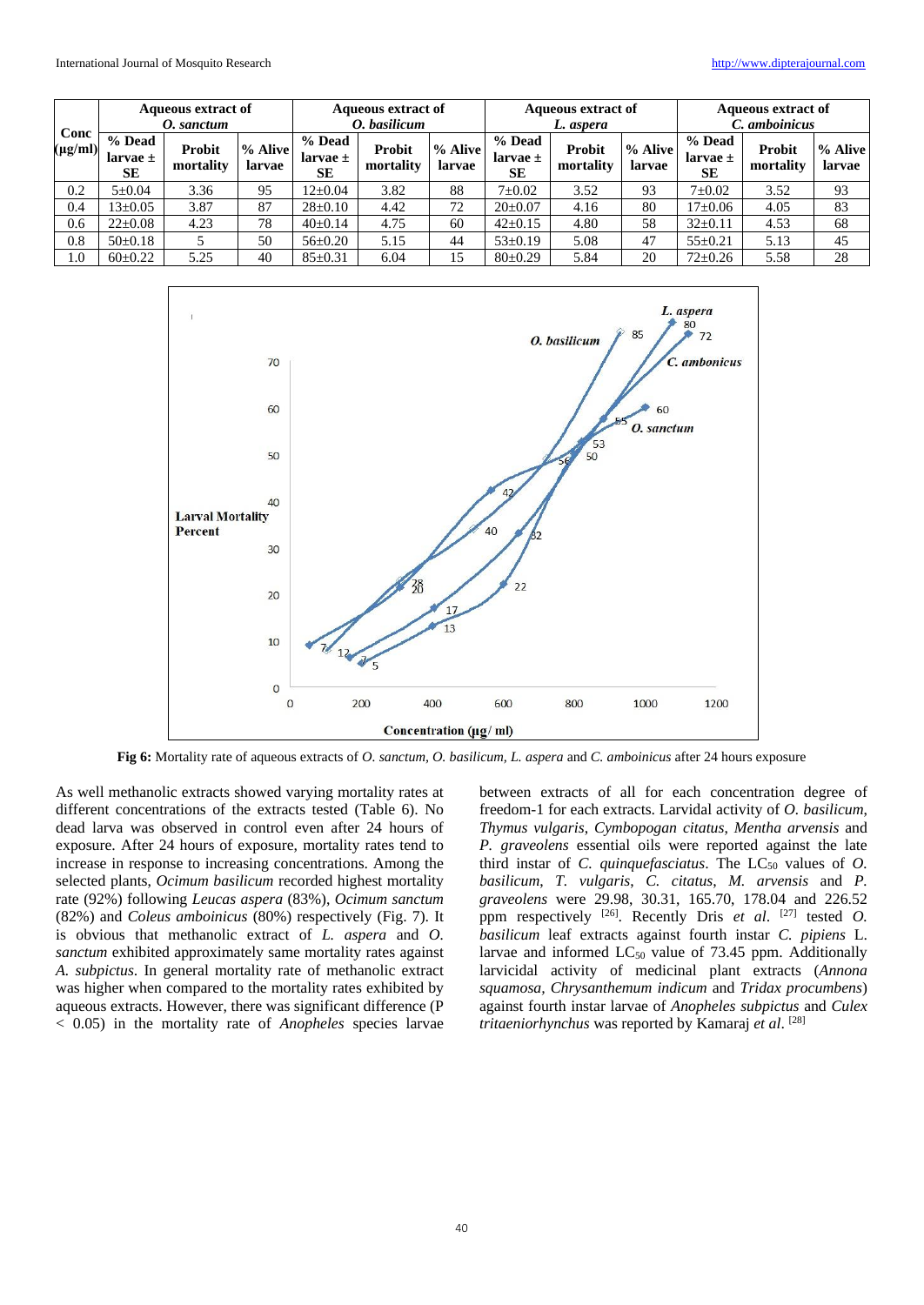| Conc<br>$(\mu g/ml)$ | <b>Aqueous extract of</b><br>O. sanctum |                     |                   | <b>Aqueous extract of</b><br>O. basilicum |                            |                   | <b>Aqueous extract of</b><br>L. aspera |                            |                   | <b>Aqueous extract of</b><br>C. amboinicus |                     |                   |
|----------------------|-----------------------------------------|---------------------|-------------------|-------------------------------------------|----------------------------|-------------------|----------------------------------------|----------------------------|-------------------|--------------------------------------------|---------------------|-------------------|
|                      | % Dead<br>larvae $\pm$<br>SE            | Probit<br>mortality | % Alive<br>larvae | % Dead<br>larvae $\pm$<br><b>SE</b>       | <b>Probit</b><br>mortality | % Alive<br>larvae | % Dead<br>larvae $\pm$<br>SE           | <b>Probit</b><br>mortality | % Alive<br>larvae | % Dead<br>larvae $\pm$<br><b>SE</b>        | Probit<br>mortality | % Alive<br>larvae |
| 0.2                  | $5 \pm 0.04$                            | 3.36                | 95                | $12 \pm 0.04$                             | 3.82                       | 88                | $7 \pm 0.02$                           | 3.52                       | 93                | $7 \pm 0.02$                               | 3.52                | 93                |
| 0.4                  | $13 \pm 0.05$                           | 3.87                | 87                | $28 \pm 0.10$                             | 4.42                       | 72                | $20 \pm 0.07$                          | 4.16                       | 80                | $17 \pm 0.06$                              | 4.05                | 83                |
| 0.6                  | $22 \pm 0.08$                           | 4.23                | 78                | $40\pm 0.14$                              | 4.75                       | 60                | $42 \pm 0.15$                          | 4.80                       | 58                | $32 \pm 0.11$                              | 4.53                | 68                |
| 0.8                  | $50 \pm 0.18$                           |                     | 50                | $56 \pm 0.20$                             | 5.15                       | 44                | $53 \pm 0.19$                          | 5.08                       | 47                | $55 \pm 0.21$                              | 5.13                | 45                |
| 1.0                  | $60\pm0.22$                             | 5.25                | 40                | $85 \pm 0.31$                             | 6.04                       | 15                | $80 \pm 0.29$                          | 5.84                       | 20                | $72 \pm 0.26$                              | 5.58                | 28                |



**Fig 6:** Mortality rate of aqueous extracts of *O. sanctum, O. basilicum, L. aspera* and *C. amboinicus* after 24 hours exposure

As well methanolic extracts showed varying mortality rates at different concentrations of the extracts tested (Table 6). No dead larva was observed in control even after 24 hours of exposure. After 24 hours of exposure, mortality rates tend to increase in response to increasing concentrations. Among the selected plants, *Ocimum basilicum* recorded highest mortality rate (92%) following *Leucas aspera* (83%), *Ocimum sanctum*  (82%) and *Coleus amboinicus* (80%) respectively (Fig. 7). It is obvious that methanolic extract of *L. aspera* and *O. sanctum* exhibited approximately same mortality rates against *A. subpictus*. In general mortality rate of methanolic extract was higher when compared to the mortality rates exhibited by aqueous extracts. However, there was significant difference (P < 0.05) in the mortality rate of *Anopheles* species larvae between extracts of all for each concentration degree of freedom-1 for each extracts. Larvidal activity of *O. basilicum*, *Thymus vulgaris*, *Cymbopogan citatus*, *Mentha arvensis* and *P. graveolens* essential oils were reported against the late third instar of *C. quinquefasciatus*. The  $LC_{50}$  values of *O. basilicum*, *T. vulgaris*, *C. citatus*, *M. arvensis* and *P. graveolens* were 29.98, 30.31, 165.70, 178.04 and 226.52 ppm respectively <sup>[26]</sup>. Recently Dris et al. <sup>[27]</sup> tested O. *basilicum* leaf extracts against fourth instar *C. pipiens* L. larvae and informed  $LC_{50}$  value of 73.45 ppm. Additionally larvicidal activity of medicinal plant extracts (*Annona squamosa, Chrysanthemum indicum* and *Tridax procumbens*) against fourth instar larvae of *Anopheles subpictus* and *Culex tritaeniorhynchus* was reported by Kamaraj *et al*. [28]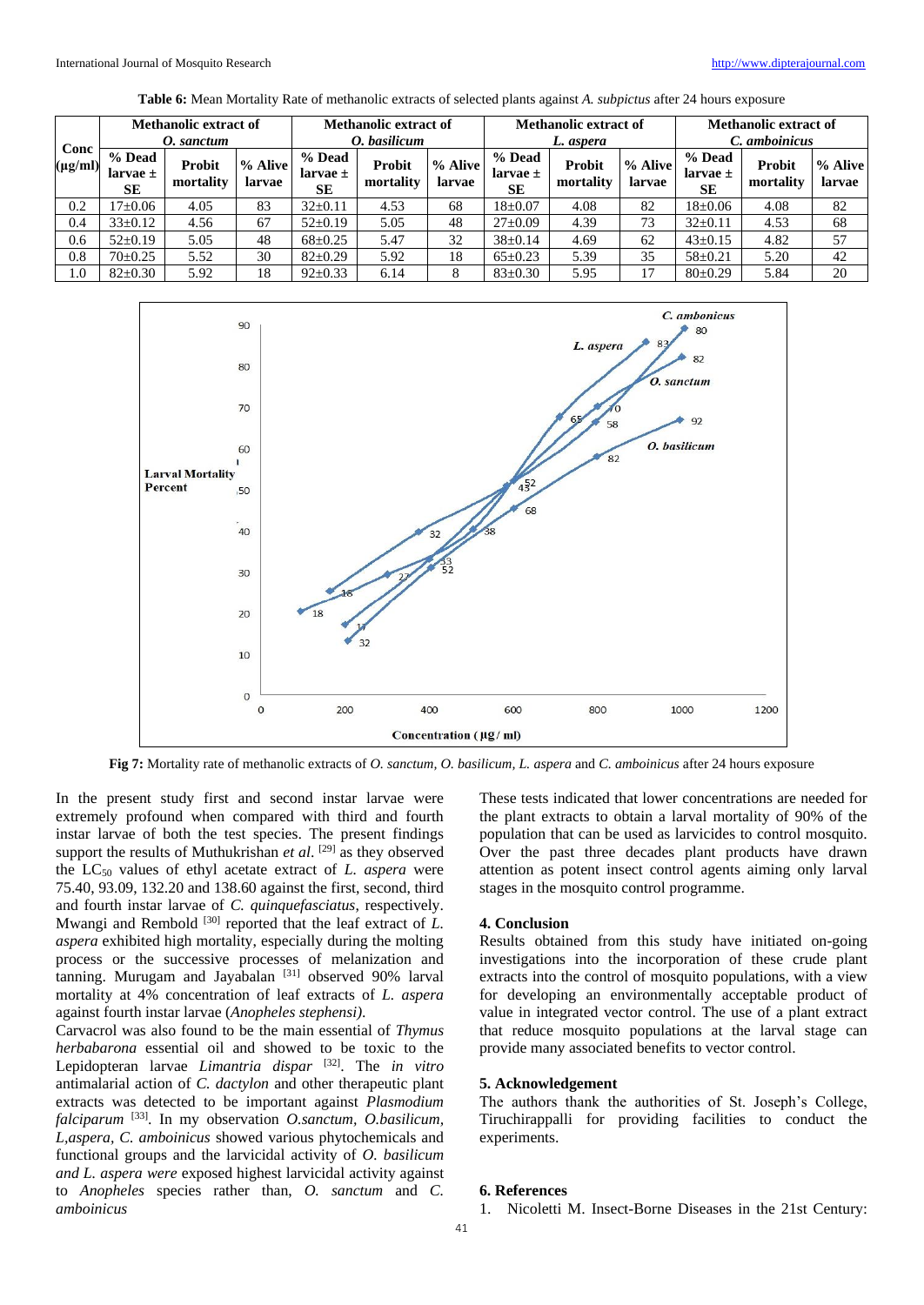| Conc         | <b>Methanolic extract of</b><br>O. sanctum |                            |                   | <b>Methanolic extract of</b><br>O. basilicum |                            |                   | <b>Methanolic extract of</b><br>L. aspera |                            |                   | <b>Methanolic extract of</b><br>C. amboinicus |                     |                   |
|--------------|--------------------------------------------|----------------------------|-------------------|----------------------------------------------|----------------------------|-------------------|-------------------------------------------|----------------------------|-------------------|-----------------------------------------------|---------------------|-------------------|
| $(\mu g/ml)$ | % Dead<br>larvae $\pm$<br>SE               | <b>Probit</b><br>mortality | % Alive<br>larvae | % Dead<br>larvae $\pm$<br><b>SE</b>          | <b>Probit</b><br>mortality | % Alive<br>larvae | % Dead<br>larvae $\pm$<br>SE              | <b>Probit</b><br>mortality | % Alive<br>larvae | % Dead<br>larvae $\pm$<br><b>SE</b>           | Probit<br>mortality | % Alive<br>larvae |
| 0.2          | $7 \pm 0.06$                               | 4.05                       | 83                | $32 \pm 0.11$                                | 4.53                       | 68                | $18 \pm 0.07$                             | 4.08                       | 82                | $18 \pm 0.06$                                 | 4.08                | 82                |
| 0.4          | $33 \pm 0.12$                              | 4.56                       | 67                | $52 \pm 0.19$                                | 5.05                       | 48                | $27 \pm 0.09$                             | 4.39                       | 73                | $32 \pm 0.11$                                 | 4.53                | 68                |
| 0.6          | $52 \pm 0.19$                              | 5.05                       | 48                | $68 \pm 0.25$                                | 5.47                       | 32                | $38 \pm 0.14$                             | 4.69                       | 62                | $43 \pm 0.15$                                 | 4.82                | 57                |
| 0.8          | $70+0.25$                                  | 5.52                       | 30                | $82 \pm 0.29$                                | 5.92                       | 18                | $65 \pm 0.23$                             | 5.39                       | 35                | $58 \pm 0.21$                                 | 5.20                | 42                |
| 1.0          | $82 \pm 0.30$                              | 5.92                       | 18                | $92 \pm 0.33$                                | 6.14                       |                   | $83 \pm 0.30$                             | 5.95                       | 17                | $80+0.29$                                     | 5.84                | 20                |

**Table 6:** Mean Mortality Rate of methanolic extracts of selected plants against *A. subpictus* after 24 hours exposure



**Fig 7:** Mortality rate of methanolic extracts of *O. sanctum, O. basilicum, L. aspera* and *C. amboinicus* after 24 hours exposure

In the present study first and second instar larvae were extremely profound when compared with third and fourth instar larvae of both the test species. The present findings support the results of Muthukrishan et al. <sup>[29]</sup> as they observed the LC<sup>50</sup> values of ethyl acetate extract of *L. aspera* were 75.40, 93.09, 132.20 and 138.60 against the first, second, third and fourth instar larvae of *C. quinquefasciatus*, respectively. Mwangi and Rembold<sup>[30]</sup> reported that the leaf extract of *L*. *aspera* exhibited high mortality, especially during the molting process or the successive processes of melanization and tanning. Murugam and Jayabalan [31] observed 90% larval mortality at 4% concentration of leaf extracts of *L. aspera* against fourth instar larvae (*Anopheles stephensi)*.

Carvacrol was also found to be the main essential of *Thymus herbabarona* essential oil and showed to be toxic to the Lepidopteran larvae *Limantria dispar* [32] . The *in vitro* antimalarial action of *C. dactylon* and other therapeutic plant extracts was detected to be important against *Plasmodium falciparum* [33] . In my observation *O.sanctum, O.basilicum, L,aspera, C. amboinicus* showed various phytochemicals and functional groups and the larvicidal activity of *O. basilicum and L. aspera were* exposed highest larvicidal activity against to *Anopheles* species rather than, *O. sanctum* and *C. amboinicus*

These tests indicated that lower concentrations are needed for the plant extracts to obtain a larval mortality of 90% of the population that can be used as larvicides to control mosquito. Over the past three decades plant products have drawn attention as potent insect control agents aiming only larval stages in the mosquito control programme.

# **4. Conclusion**

Results obtained from this study have initiated on-going investigations into the incorporation of these crude plant extracts into the control of mosquito populations, with a view for developing an environmentally acceptable product of value in integrated vector control. The use of a plant extract that reduce mosquito populations at the larval stage can provide many associated benefits to vector control.

#### **5. Acknowledgement**

The authors thank the authorities of St. Joseph's College, Tiruchirappalli for providing facilities to conduct the experiments.

#### **6. References**

1. Nicoletti M. Insect-Borne Diseases in the 21st Century: